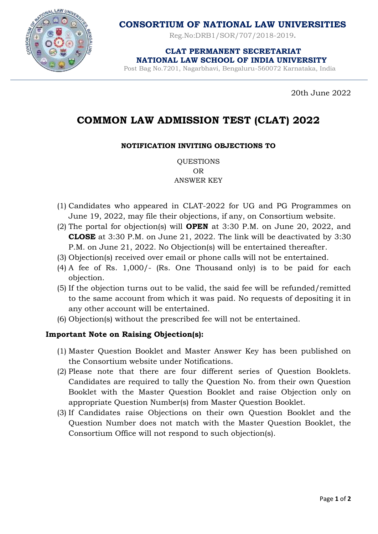

**CONSORTIUM OF NATIONAL LAW UNIVERSITIES**

Reg.No:DRB1/SOR/707/2018-2019**.**

 **CLAT PERMANENT SECRETARIAT NATIONAL LAW SCHOOL OF INDIA UNIVERSITY**

Post Bag No.7201, Nagarbhavi, Bengaluru-560072 Karnataka, India

20th June 2022

## **COMMON LAW ADMISSION TEST (CLAT) 2022**

## **NOTIFICATION INVITING OBJECTIONS TO**

QUESTIONS OR ANSWER KEY

- (1) Candidates who appeared in CLAT-2022 for UG and PG Programmes on June 19, 2022, may file their objections, if any, on Consortium website.
- (2) The portal for objection(s) will **OPEN** at 3:30 P.M. on June 20, 2022, and **CLOSE** at 3:30 P.M. on June 21, 2022. The link will be deactivated by 3:30 P.M. on June 21, 2022. No Objection(s) will be entertained thereafter.
- (3) Objection(s) received over email or phone calls will not be entertained.
- (4) A fee of Rs. 1,000/- (Rs. One Thousand only) is to be paid for each objection.
- (5) If the objection turns out to be valid, the said fee will be refunded/remitted to the same account from which it was paid. No requests of depositing it in any other account will be entertained.
- (6) Objection(s) without the prescribed fee will not be entertained.

## **Important Note on Raising Objection(s):**

- (1) Master Question Booklet and Master Answer Key has been published on the Consortium website under Notifications.
- (2) Please note that there are four different series of Question Booklets. Candidates are required to tally the Question No. from their own Question Booklet with the Master Question Booklet and raise Objection only on appropriate Question Number(s) from Master Question Booklet.
- (3) If Candidates raise Objections on their own Question Booklet and the Question Number does not match with the Master Question Booklet, the Consortium Office will not respond to such objection(s).